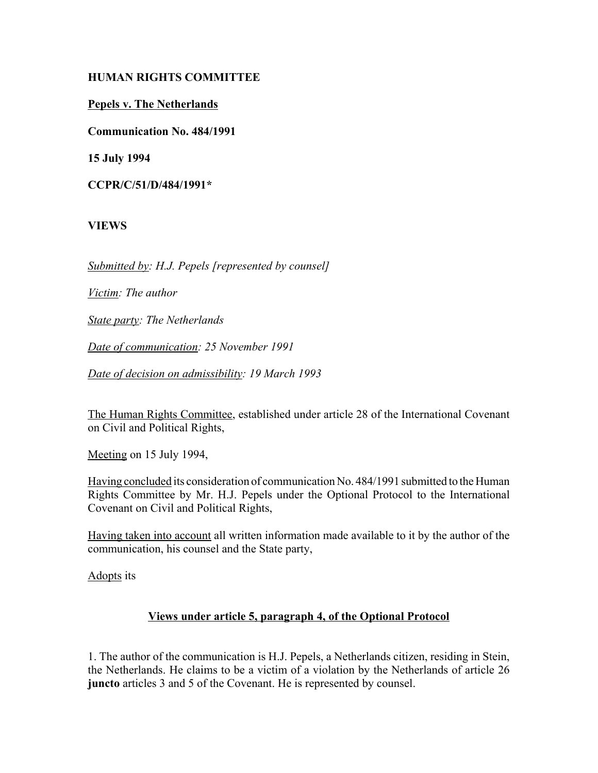### **HUMAN RIGHTS COMMITTEE**

### **Pepels v. The Netherlands**

**Communication No. 484/1991**

**15 July 1994**

**CCPR/C/51/D/484/1991\***

### **VIEWS**

*Submitted by: H.J. Pepels [represented by counsel]*

*Victim: The author*

*State party: The Netherlands*

*Date of communication: 25 November 1991*

*Date of decision on admissibility: 19 March 1993*

The Human Rights Committee, established under article 28 of the International Covenant on Civil and Political Rights,

Meeting on 15 July 1994,

Having concluded its consideration of communication No. 484/1991 submitted to the Human Rights Committee by Mr. H.J. Pepels under the Optional Protocol to the International Covenant on Civil and Political Rights,

Having taken into account all written information made available to it by the author of the communication, his counsel and the State party,

Adopts its

# **Views under article 5, paragraph 4, of the Optional Protocol**

1. The author of the communication is H.J. Pepels, a Netherlands citizen, residing in Stein, the Netherlands. He claims to be a victim of a violation by the Netherlands of article 26 **juncto** articles 3 and 5 of the Covenant. He is represented by counsel.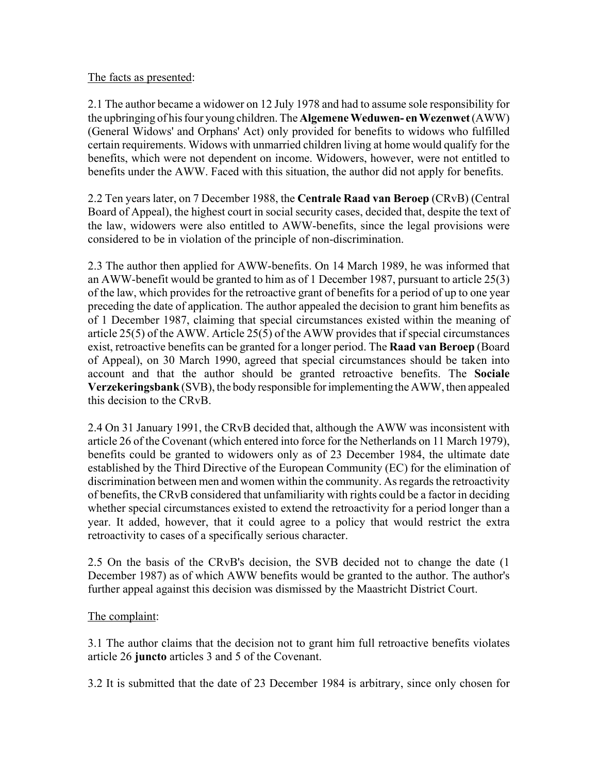#### The facts as presented:

2.1 The author became a widower on 12 July 1978 and had to assume sole responsibility for the upbringing of his four young children. The **Algemene Weduwen- en Wezenwet** (AWW) (General Widows' and Orphans' Act) only provided for benefits to widows who fulfilled certain requirements. Widows with unmarried children living at home would qualify for the benefits, which were not dependent on income. Widowers, however, were not entitled to benefits under the AWW. Faced with this situation, the author did not apply for benefits.

2.2 Ten years later, on 7 December 1988, the **Centrale Raad van Beroep** (CRvB) (Central Board of Appeal), the highest court in social security cases, decided that, despite the text of the law, widowers were also entitled to AWW-benefits, since the legal provisions were considered to be in violation of the principle of non-discrimination.

2.3 The author then applied for AWW-benefits. On 14 March 1989, he was informed that an AWW-benefit would be granted to him as of 1 December 1987, pursuant to article 25(3) of the law, which provides for the retroactive grant of benefits for a period of up to one year preceding the date of application. The author appealed the decision to grant him benefits as of 1 December 1987, claiming that special circumstances existed within the meaning of article 25(5) of the AWW. Article 25(5) of the AWW provides that if special circumstances exist, retroactive benefits can be granted for a longer period. The **Raad van Beroep** (Board of Appeal), on 30 March 1990, agreed that special circumstances should be taken into account and that the author should be granted retroactive benefits. The **Sociale Verzekeringsbank** (SVB), the body responsible for implementing the AWW, then appealed this decision to the CRvB.

2.4 On 31 January 1991, the CRvB decided that, although the AWW was inconsistent with article 26 of the Covenant (which entered into force for the Netherlands on 11 March 1979), benefits could be granted to widowers only as of 23 December 1984, the ultimate date established by the Third Directive of the European Community (EC) for the elimination of discrimination between men and women within the community. As regards the retroactivity of benefits, the CRvB considered that unfamiliarity with rights could be a factor in deciding whether special circumstances existed to extend the retroactivity for a period longer than a year. It added, however, that it could agree to a policy that would restrict the extra retroactivity to cases of a specifically serious character.

2.5 On the basis of the CRvB's decision, the SVB decided not to change the date (1 December 1987) as of which AWW benefits would be granted to the author. The author's further appeal against this decision was dismissed by the Maastricht District Court.

# The complaint:

3.1 The author claims that the decision not to grant him full retroactive benefits violates article 26 **juncto** articles 3 and 5 of the Covenant.

3.2 It is submitted that the date of 23 December 1984 is arbitrary, since only chosen for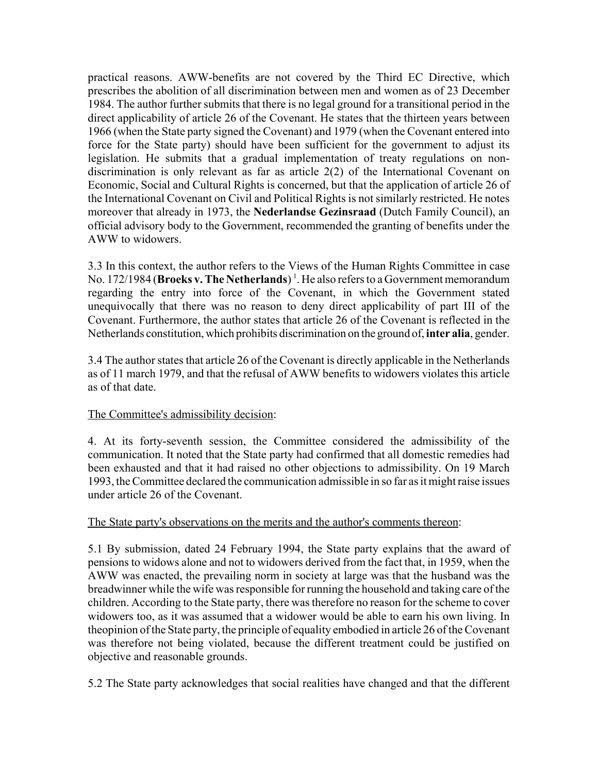practical reasons. AWW-benefits are not covered by the Third EC Directive, which prescribes the abolition of all discrimination between men and women as of 23 December 1984. The author further submits that there is no legal ground for a transitional period in the direct applicability of article 26 of the Covenant. He states that the thirteen years between 1966 (when the State party signed the Covenant) and 1979 (when the Covenant entered into force for the State party) should have been sufficient for the government to adjust its legislation. He submits that a gradual implementation of treaty regulations on nondiscrimination is only relevant as far as article 2(2) of the International Covenant on Economic, Social and Cultural Rights is concerned, but that the application of article 26 of the International Covenant on Civil and Political Rights is not similarly restricted. He notes moreover that already in 1973, the **Nederlandse Gezinsraad** (Dutch Family Council), an official advisory body to the Government, recommended the granting of benefits under the AWW to widowers.

3.3 In this context, the author refers to the Views of the Human Rights Committee in case No. 172/1984 (**Broeks v. The Netherlands**)<sup>1</sup>. He also refers to a Government memorandum regarding the entry into force of the Covenant, in which the Government stated unequivocally that there was no reason to deny direct applicability of part III of the Covenant. Furthermore, the author states that article 26 of the Covenant is reflected in the Netherlands constitution, which prohibits discrimination on the ground of, **inter alia**, gender.

3.4 The author states that article 26 of the Covenant is directly applicable in the Netherlands as of 11 march 1979, and that the refusal of AWW benefits to widowers violates this article as of that date.

# The Committee's admissibility decision:

4. At its forty-seventh session, the Committee considered the admissibility of the communication. It noted that the State party had confirmed that all domestic remedies had been exhausted and that it had raised no other objections to admissibility. On 19 March 1993, the Committee declared the communication admissible in so far as it might raise issues under article 26 of the Covenant.

# The State party's observations on the merits and the author's comments thereon:

5.1 By submission, dated 24 February 1994, the State party explains that the award of pensions to widows alone and not to widowers derived from the fact that, in 1959, when the AWW was enacted, the prevailing norm in society at large was that the husband was the breadwinner while the wife was responsible for running the household and taking care of the children. According to the State party, there was therefore no reason for the scheme to cover widowers too, as it was assumed that a widower would be able to earn his own living. In theopinion of the State party, the principle of equality embodied in article 26 of the Covenant was therefore not being violated, because the different treatment could be justified on objective and reasonable grounds.

5.2 The State party acknowledges that social realities have changed and that the different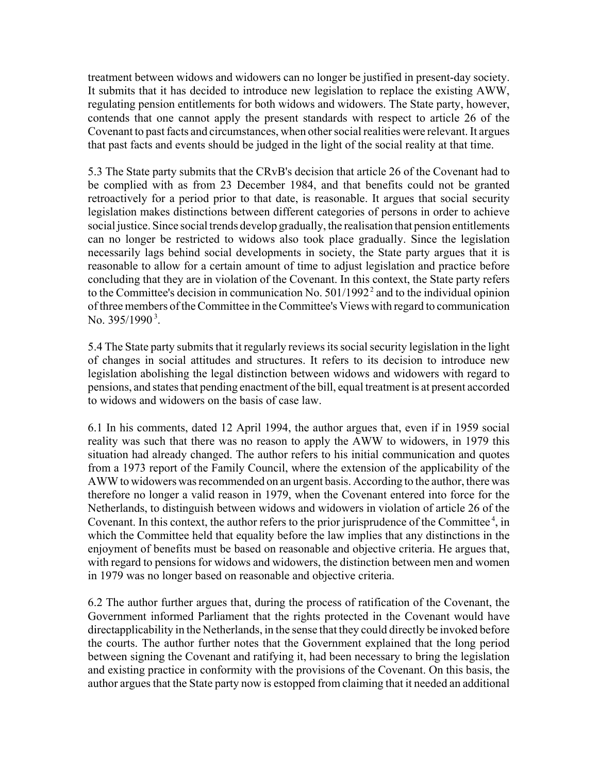treatment between widows and widowers can no longer be justified in present-day society. It submits that it has decided to introduce new legislation to replace the existing AWW, regulating pension entitlements for both widows and widowers. The State party, however, contends that one cannot apply the present standards with respect to article 26 of the Covenant to past facts and circumstances, when other social realities were relevant. It argues that past facts and events should be judged in the light of the social reality at that time.

5.3 The State party submits that the CRvB's decision that article 26 of the Covenant had to be complied with as from 23 December 1984, and that benefits could not be granted retroactively for a period prior to that date, is reasonable. It argues that social security legislation makes distinctions between different categories of persons in order to achieve social justice. Since social trends develop gradually, the realisation that pension entitlements can no longer be restricted to widows also took place gradually. Since the legislation necessarily lags behind social developments in society, the State party argues that it is reasonable to allow for a certain amount of time to adjust legislation and practice before concluding that they are in violation of the Covenant. In this context, the State party refers to the Committee's decision in communication No.  $501/1992<sup>2</sup>$  and to the individual opinion of three members of the Committee in the Committee's Views with regard to communication No.  $395/1990^3$ .

5.4 The State party submits that it regularly reviews its social security legislation in the light of changes in social attitudes and structures. It refers to its decision to introduce new legislation abolishing the legal distinction between widows and widowers with regard to pensions, and states that pending enactment of the bill, equal treatment is at present accorded to widows and widowers on the basis of case law.

6.1 In his comments, dated 12 April 1994, the author argues that, even if in 1959 social reality was such that there was no reason to apply the AWW to widowers, in 1979 this situation had already changed. The author refers to his initial communication and quotes from a 1973 report of the Family Council, where the extension of the applicability of the AWW to widowers was recommended on an urgent basis. According to the author, there was therefore no longer a valid reason in 1979, when the Covenant entered into force for the Netherlands, to distinguish between widows and widowers in violation of article 26 of the Covenant. In this context, the author refers to the prior jurisprudence of the Committee<sup>4</sup>, in which the Committee held that equality before the law implies that any distinctions in the enjoyment of benefits must be based on reasonable and objective criteria. He argues that, with regard to pensions for widows and widowers, the distinction between men and women in 1979 was no longer based on reasonable and objective criteria.

6.2 The author further argues that, during the process of ratification of the Covenant, the Government informed Parliament that the rights protected in the Covenant would have directapplicability in the Netherlands, in the sense that they could directly be invoked before the courts. The author further notes that the Government explained that the long period between signing the Covenant and ratifying it, had been necessary to bring the legislation and existing practice in conformity with the provisions of the Covenant. On this basis, the author argues that the State party now is estopped from claiming that it needed an additional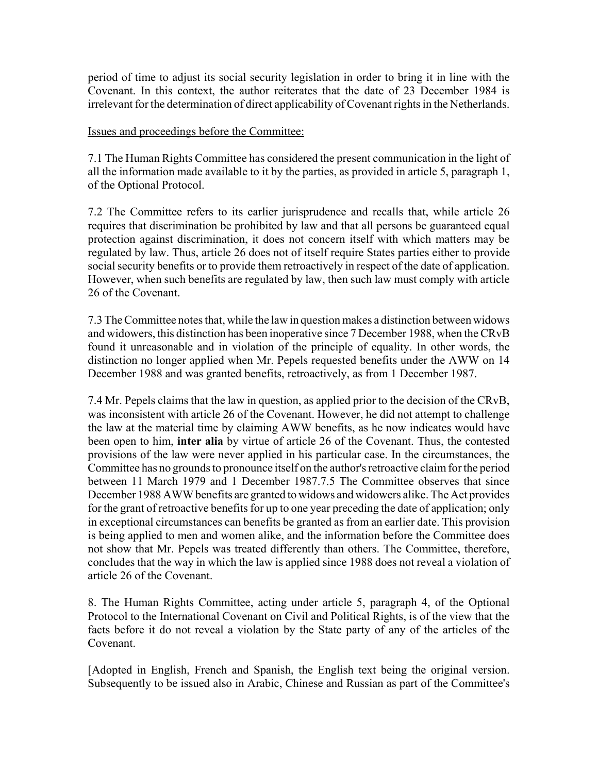period of time to adjust its social security legislation in order to bring it in line with the Covenant. In this context, the author reiterates that the date of 23 December 1984 is irrelevant for the determination of direct applicability of Covenant rights in the Netherlands.

Issues and proceedings before the Committee:

7.1 The Human Rights Committee has considered the present communication in the light of all the information made available to it by the parties, as provided in article 5, paragraph 1, of the Optional Protocol.

7.2 The Committee refers to its earlier jurisprudence and recalls that, while article 26 requires that discrimination be prohibited by law and that all persons be guaranteed equal protection against discrimination, it does not concern itself with which matters may be regulated by law. Thus, article 26 does not of itself require States parties either to provide social security benefits or to provide them retroactively in respect of the date of application. However, when such benefits are regulated by law, then such law must comply with article 26 of the Covenant.

7.3 The Committee notes that, while the law in question makes a distinction between widows and widowers, this distinction has been inoperative since 7 December 1988, when the CRvB found it unreasonable and in violation of the principle of equality. In other words, the distinction no longer applied when Mr. Pepels requested benefits under the AWW on 14 December 1988 and was granted benefits, retroactively, as from 1 December 1987.

7.4 Mr. Pepels claims that the law in question, as applied prior to the decision of the CRvB, was inconsistent with article 26 of the Covenant. However, he did not attempt to challenge the law at the material time by claiming AWW benefits, as he now indicates would have been open to him, **inter alia** by virtue of article 26 of the Covenant. Thus, the contested provisions of the law were never applied in his particular case. In the circumstances, the Committee has no grounds to pronounce itself on the author's retroactive claim for the period between 11 March 1979 and 1 December 1987.7.5 The Committee observes that since December 1988 AWW benefits are granted to widows and widowers alike. The Act provides for the grant of retroactive benefits for up to one year preceding the date of application; only in exceptional circumstances can benefits be granted as from an earlier date. This provision is being applied to men and women alike, and the information before the Committee does not show that Mr. Pepels was treated differently than others. The Committee, therefore, concludes that the way in which the law is applied since 1988 does not reveal a violation of article 26 of the Covenant.

8. The Human Rights Committee, acting under article 5, paragraph 4, of the Optional Protocol to the International Covenant on Civil and Political Rights, is of the view that the facts before it do not reveal a violation by the State party of any of the articles of the Covenant.

[Adopted in English, French and Spanish, the English text being the original version. Subsequently to be issued also in Arabic, Chinese and Russian as part of the Committee's